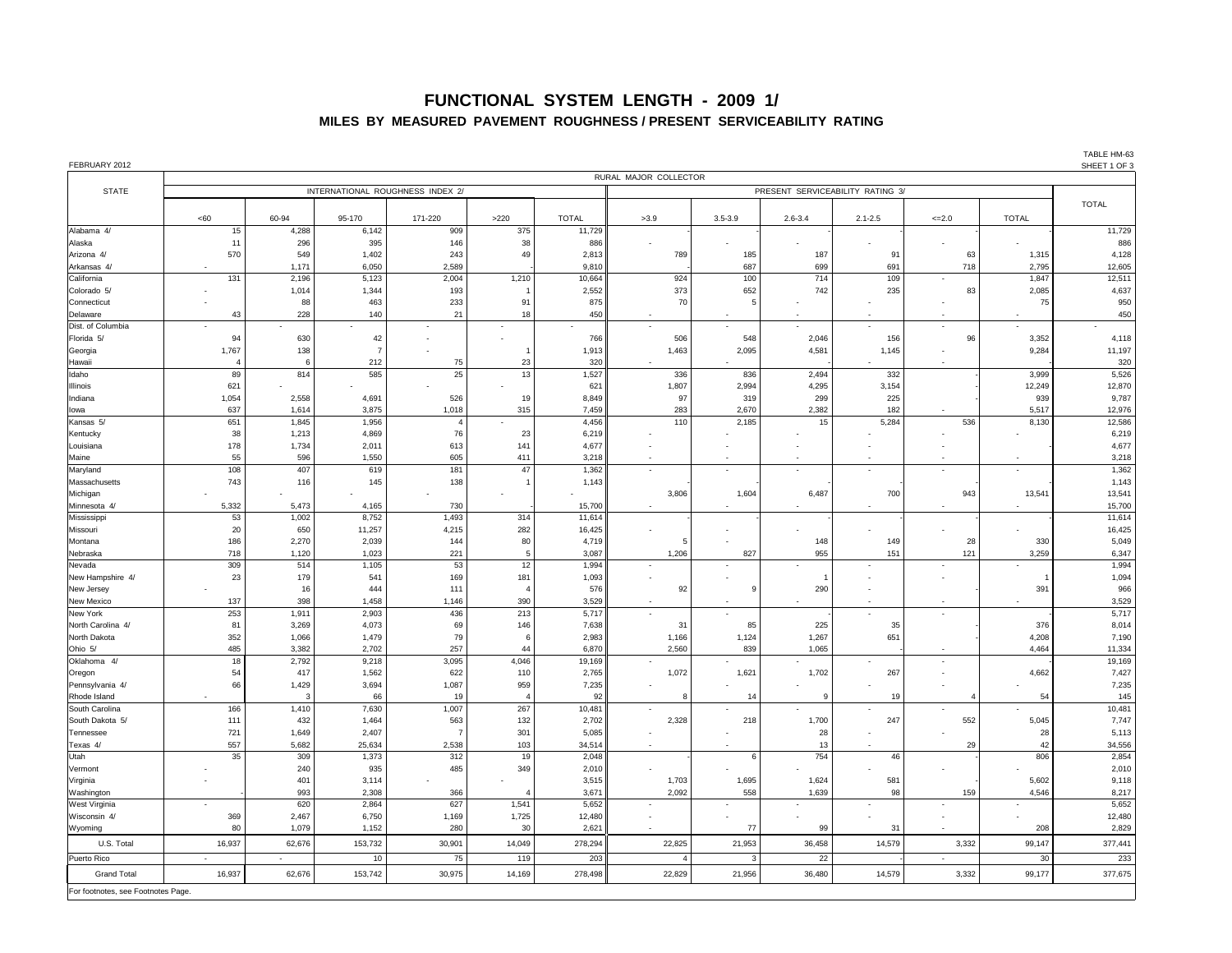| TABLE HM-63          |
|----------------------|
| <u>ALIEET 1 AF A</u> |

| FEBRUARY 2012               |                          |                                  |                                  |                |                 |                          |                |              |                |                          |                          |                | SHEET 1 OF 3     |
|-----------------------------|--------------------------|----------------------------------|----------------------------------|----------------|-----------------|--------------------------|----------------|--------------|----------------|--------------------------|--------------------------|----------------|------------------|
|                             | RURAL MAJOR COLLECTOR    |                                  |                                  |                |                 |                          |                |              |                |                          |                          |                |                  |
| <b>STATE</b>                |                          | INTERNATIONAL ROUGHNESS INDEX 2/ | PRESENT SERVICEABILITY RATING 3/ |                |                 |                          |                |              |                |                          |                          |                |                  |
|                             |                          |                                  |                                  |                |                 |                          |                |              |                |                          |                          |                | <b>TOTAL</b>     |
| Alabama 4/                  | <60<br>15                | 60-94<br>4,288                   | 95-170<br>6,142                  | 171-220<br>909 | $>220$<br>375   | <b>TOTAL</b><br>11,729   | >3.9           | $3.5 - 3.9$  | $2.6 - 3.4$    | $2.1 - 2.5$              | $\leq$ 2.0               | <b>TOTAL</b>   | 11,729           |
| Alaska                      | 11                       | 296                              | 395                              | 146            | 38              | 886                      |                |              | $\blacksquare$ |                          | $\sim$                   | $\sim$         | 886              |
| Arizona 4/                  | 570                      | 549                              | 1,402                            | 243            | 49              | 2,813                    | 789            | 185          | 187            | 91                       | 63                       | 1,315          | 4,128            |
| Arkansas 4/                 | $\sim$                   | 1,171                            | 6,050                            | 2,589          |                 | 9,810                    |                | 687          | 699            | 691                      | 718                      | 2,795          | 12,605           |
| California                  | 131                      | 2,196                            | 5,123                            | 2,004          | 1,210           | 10,664                   | 924            | 100          | 714            | 109                      | $\sim$                   | 1,847          | 12,511           |
| Colorado 5/                 |                          | 1,014                            | 1,344                            | 193            |                 | 2,552                    | 373            | 652          | 742            | 235                      | 83                       | 2,085          | 4,637            |
| Connecticut                 |                          | 88                               | 463                              | 233            | 91              | 875                      | 70             |              |                |                          |                          | 75             | 950              |
| Delaware                    | 43                       | 228                              | 140                              | 21             | 18              | 450                      |                | $\sim$       | $\sim$         | $\sim$                   | $\sim$                   | $\sim$         | 450              |
| Dist. of Columbia           | $\sim$                   |                                  | $\sim$                           | $\sim$         | $\sim$          | $\overline{\phantom{0}}$ |                | $\sim$       | $\sim$         | $\sim$                   | $\sim$                   | $\sim$         |                  |
| Florida 5/                  | 94                       | 630                              | 42                               |                | $\sim$          | 766                      | 506            | 548          | 2,046          | 156                      | 96                       | 3,352          | 4,118            |
| Georgia                     | 1,767                    | 138                              |                                  |                |                 | 1,913                    | 1,463          | 2,095        | 4,581          | 1,145                    | $\overline{\phantom{a}}$ | 9,284          | 11,197           |
| Hawaii                      |                          |                                  | 212                              | 75             | 23              | 320                      |                |              |                |                          | $\sim$                   |                | 320              |
| Idaho                       | 89                       | 814                              | 585                              | 25             | 13              | 1,527                    | 336            | 836          | 2,494          | 332                      |                          | 3,999          | 5,526            |
| <b>Illinois</b>             | 621                      |                                  |                                  |                |                 | 621                      | 1,807          | 2,994        | 4,295          | 3,154                    |                          | 12,249         | 12,870           |
| Indiana                     | 1,054                    | 2,558                            | 4,691                            | 526            | 19              | 8,849                    | 97             | 319          | 299            | 225                      |                          | 939            | 9,787            |
| lowa                        | 637                      | 1,614                            | 3,875                            | 1,018          | 315             | 7,459                    | 283            | 2,670        | 2,382          | 182                      |                          | 5,517          | 12,976           |
| Kansas 5/                   | 651                      | 1,845                            | 1,956                            |                | $\sim$          | 4,456                    | 110            | 2,185        | 15             | 5,284                    | 536                      | 8,130          | 12,586           |
| Kentucky                    | 38                       | 1,213                            | 4,869                            | 76             | 23              | 6,219                    |                |              |                |                          |                          |                | 6,219            |
| Louisiana                   | 178                      | 1,734                            | 2,011                            | 613            | 141             | 4,677                    |                |              |                |                          |                          |                | 4,677            |
| Maine                       | 55                       | 596                              | 1,550                            | 605            | 411             | 3,218                    |                | $\sim$       | $\sim$         | $\sim$                   | $\sim$                   |                | 3,218            |
| Maryland                    | 108                      | 407                              | 619                              | 181            | 47              | 1,362                    |                |              |                |                          | $\sim$                   |                | 1,362            |
| Massachusetts               | 743                      | 116                              | 145                              | 138            |                 | 1,143                    |                |              |                |                          |                          |                | 1,143            |
| Michigan                    |                          |                                  |                                  |                |                 |                          | 3,806          | 1,604        | 6,487          | 700                      | 943                      | 13,541         | 13,541           |
| Minnesota 4/<br>Mississippi | 5,332<br>53              | 5,473<br>1,002                   | 4,165<br>8,752                   | 730<br>1,493   | 314             | 15,700<br>11,614         |                | $\sim$       |                |                          | $\overline{\phantom{0}}$ |                | 15,700<br>11,614 |
| Missouri                    | 20                       | 650                              | 11,257                           | 4,215          | 282             | 16,425                   |                |              |                |                          |                          |                | 16,425           |
| Montana                     | 186                      | 2,270                            | 2,039                            | 144            | 80              | 4,719                    |                |              | 148            | 149                      | 28                       | 330            | 5,049            |
| Nebraska                    | 718                      | 1,120                            | 1,023                            | 221            |                 | 3,087                    | 1,206          | 827          | 955            | 151                      | 121                      | 3,259          | 6,347            |
| Nevada                      | 309                      | 514                              | 1,105                            | 53             | 12              | 1,994                    |                |              |                |                          |                          |                | 1,994            |
| New Hampshire 4/            | 23                       | 179                              | 541                              | 169            | 181             | 1,093                    |                |              |                |                          |                          |                | 1,094            |
| New Jersey                  |                          | 16                               | 444                              | 111            |                 | 576                      | 92             |              | 290            |                          |                          | 391            | 966              |
| New Mexico                  | 137                      | 398                              | 1,458                            | 1,146          | 390             | 3,529                    |                |              |                | $\overline{\phantom{0}}$ | $\sim$                   |                | 3,529            |
| New York                    | 253                      | 1,911                            | 2,903                            | 436            | 213             | 5,717                    |                |              |                |                          | $\sim$                   |                | 5,717            |
| North Carolina 4/           | 81                       | 3,269                            | 4,073                            | 69             | 146             | 7,638                    | 31             | 85           | 225            | 35                       |                          | 376            | 8,014            |
| North Dakota                | 352                      | 1,066                            | 1,479                            | 79             |                 | 2,983                    | 1,166          | 1,124        | 1,267          | 651                      |                          | 4,208          | 7,190            |
| Ohio 5/                     | 485                      | 3,382                            | 2,702                            | 257            | 44              | 6,870                    | 2,560          | 839          | 1,065          |                          |                          | 4,464          | 11,334           |
| Oklahoma 4/                 | 18                       | 2,792                            | 9,218                            | 3,095          | 4,046           | 19,169                   |                |              |                |                          |                          |                | 19,169           |
| Oregon                      | 54                       | 417                              | 1,562                            | 622            | 110             | 2,765                    | 1,072          | 1,621        | 1,702          | 267                      |                          | 4,662          | 7,427            |
| Pennsylvania 4/             | 66                       | 1,429                            | 3,694                            | 1,087          | 959             | 7,235                    |                |              |                |                          |                          |                | 7,235            |
| Rhode Island                |                          | -3                               | 66                               | 19             |                 | 92                       | -8             | 14           | -9             | 19                       |                          | 54             | 145              |
| South Carolina              | 166                      | 1,410                            | 7,630                            | 1,007          | 267             | 10,481                   |                |              |                |                          |                          | $\sim$         | 10,481           |
| South Dakota 5/             | 111                      | 432                              | 1,464                            | 563            | 132             | 2,702                    | 2,328          | 218          | 1,700          | 247                      | 552                      | 5,045          | 7,747            |
| Tennessee                   | 721                      | 1,649                            | 2,407                            |                | 301             | 5,085                    |                |              | 28             |                          |                          | 28             | 5,113            |
| Texas 4/                    | 557                      | 5,682                            | 25,634                           | 2,538          | 103             | 34,514                   |                |              | 13             |                          | 29                       | 42             | 34,556           |
| Utah                        | 35                       | 309                              | 1,373                            | 312            | 19              | 2,048                    |                | 6            | 754            | 46                       |                          | 806            | 2,854            |
| Vermont                     | $\overline{\phantom{a}}$ | 240                              | 935                              | 485            | 349             | 2,010                    |                | $\sim$       | $\sim$         | $\sim$                   | $\overline{\phantom{0}}$ | $\sim$         | 2,010            |
| Virginia<br>Washington      | $\sim$                   | 401<br>993                       | 3,114<br>2,308                   | 366            |                 | 3,515<br>3,671           | 1,703<br>2,092 | 1,695<br>558 | 1,624<br>1,639 | 581<br>98                | 159                      | 5,602<br>4,546 | 9,118<br>8,217   |
| West Virginia               | $\sim$                   | 620                              | 2,864                            | 627            | 1,541           | 5,652                    | $\sim$         | $\sim$       | $\sim$         | $\sim$                   | $\sim$                   | $\sim$         | 5,652            |
| Wisconsin 4/                | 369                      | 2,467                            | 6,750                            | 1,169          | 1,725           | 12,480                   | $\sim$         | $\sim$       | $\sim$         | $\blacksquare$           | $\overline{\phantom{0}}$ | $\sim$         | 12,480           |
| Wyoming                     | 80                       | 1,079                            | 1,152                            | 280            | 30 <sup>°</sup> | 2,621                    |                | 77           | 99             | 31                       | $\sim$                   | 208            | 2,829            |
| U.S. Total                  | 16,937                   | 62,676                           | 153,732                          | 30,901         | 14,049          | 278,294                  | 22,825         | 21,953       | 36,458         | 14,579                   | 3,332                    | 99,147         | 377,441          |
| Puerto Rico                 | $\sim$                   | $\sim$                           | 10                               | 75             | 119             | 203                      |                |              | 22             |                          | $\sim$                   | 30             | 233              |
| <b>Grand Total</b>          | 16,937                   | 62,676                           | 153,742                          | 30,975         | 14,169          | 278,498                  | 22,829         | 21,956       | 36,480         | 14,579                   | 3,332                    | 99,177         | 377,675          |
|                             |                          |                                  |                                  |                |                 |                          |                |              |                |                          |                          |                |                  |

For footnotes, see Footnotes Page.

# **FUNCTIONAL SYSTEM LENGTH - 2009 1/ MILES BY MEASURED PAVEMENT ROUGHNESS / PRESENT SERVICEABILITY RATING**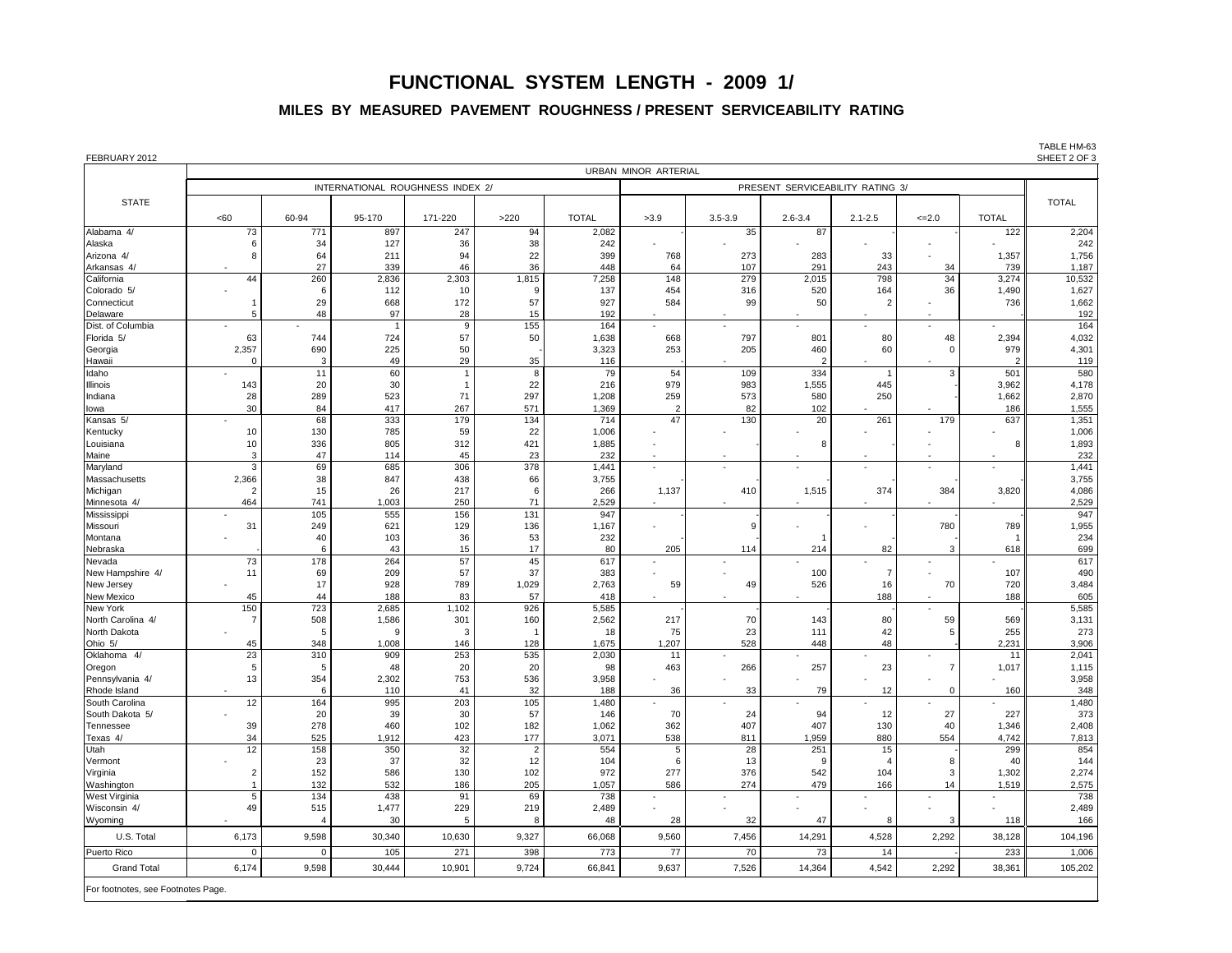| <60<br>73<br>8<br>44<br>5<br>63<br>2,357<br>- 0<br>143<br>28<br>30<br>$\sim$ | 60-94<br>771<br>34<br>64<br>27<br>260<br>6<br>29<br>48<br>744<br>690<br>11<br>20<br>289 | INTERNATIONAL ROUGHNESS INDEX 2/<br>95-170<br>897<br>127<br>211<br>339<br>2,836<br>112<br>668<br>97<br>724<br>225<br>49<br>60 | 171-220<br>247<br>36<br>94<br>46<br>2,303<br>10<br>172<br>28<br>9<br>57<br>50                                                              | $>220$<br>94<br>38<br>22<br>36<br>1,815<br>57<br>15<br>155                                                                         | <b>TOTAL</b><br>2,082<br>242<br>399<br>448<br>7,258<br>137<br>927<br>192                                                                   | URBAN MINOR ARTERIAL<br>>3.9<br>768<br>64<br>148<br>454<br>584                                                                                      | $3.5 - 3.9$<br>35<br>273<br>107<br>279<br>316                                   | PRESENT SERVICEABILITY RATING 3/<br>$2.6 - 3.4$<br>87<br>283<br>291<br>2,015<br>520 | $2.1 - 2.5$<br>33<br>243<br>798<br>164                                           | $\leq$ -2.0<br>$\overline{\phantom{a}}$<br>$\overline{\phantom{a}}$<br>34<br>34<br>36 | <b>TOTAL</b><br>122<br>1,357<br>739<br>3,274<br>1,490 | <b>TOTAL</b><br>1,187                                                                                                        |
|------------------------------------------------------------------------------|-----------------------------------------------------------------------------------------|-------------------------------------------------------------------------------------------------------------------------------|--------------------------------------------------------------------------------------------------------------------------------------------|------------------------------------------------------------------------------------------------------------------------------------|--------------------------------------------------------------------------------------------------------------------------------------------|-----------------------------------------------------------------------------------------------------------------------------------------------------|---------------------------------------------------------------------------------|-------------------------------------------------------------------------------------|----------------------------------------------------------------------------------|---------------------------------------------------------------------------------------|-------------------------------------------------------|------------------------------------------------------------------------------------------------------------------------------|
|                                                                              |                                                                                         |                                                                                                                               |                                                                                                                                            |                                                                                                                                    |                                                                                                                                            |                                                                                                                                                     |                                                                                 |                                                                                     |                                                                                  |                                                                                       |                                                       | 2,204<br>242<br>1,756<br>10,532                                                                                              |
|                                                                              |                                                                                         |                                                                                                                               |                                                                                                                                            |                                                                                                                                    |                                                                                                                                            |                                                                                                                                                     |                                                                                 |                                                                                     |                                                                                  |                                                                                       |                                                       |                                                                                                                              |
|                                                                              |                                                                                         |                                                                                                                               |                                                                                                                                            |                                                                                                                                    |                                                                                                                                            |                                                                                                                                                     |                                                                                 |                                                                                     |                                                                                  |                                                                                       |                                                       |                                                                                                                              |
|                                                                              |                                                                                         |                                                                                                                               |                                                                                                                                            |                                                                                                                                    |                                                                                                                                            |                                                                                                                                                     |                                                                                 |                                                                                     |                                                                                  |                                                                                       |                                                       |                                                                                                                              |
|                                                                              |                                                                                         |                                                                                                                               |                                                                                                                                            |                                                                                                                                    |                                                                                                                                            |                                                                                                                                                     |                                                                                 |                                                                                     |                                                                                  |                                                                                       |                                                       |                                                                                                                              |
|                                                                              |                                                                                         |                                                                                                                               |                                                                                                                                            |                                                                                                                                    |                                                                                                                                            |                                                                                                                                                     |                                                                                 |                                                                                     |                                                                                  |                                                                                       |                                                       |                                                                                                                              |
|                                                                              |                                                                                         |                                                                                                                               |                                                                                                                                            |                                                                                                                                    |                                                                                                                                            |                                                                                                                                                     |                                                                                 |                                                                                     |                                                                                  |                                                                                       |                                                       |                                                                                                                              |
|                                                                              |                                                                                         |                                                                                                                               |                                                                                                                                            |                                                                                                                                    |                                                                                                                                            |                                                                                                                                                     |                                                                                 |                                                                                     |                                                                                  |                                                                                       |                                                       | 1,627                                                                                                                        |
|                                                                              |                                                                                         |                                                                                                                               |                                                                                                                                            |                                                                                                                                    |                                                                                                                                            |                                                                                                                                                     | 99                                                                              | 50                                                                                  |                                                                                  |                                                                                       | 736                                                   | 1,662                                                                                                                        |
|                                                                              |                                                                                         |                                                                                                                               |                                                                                                                                            |                                                                                                                                    |                                                                                                                                            | $\blacksquare$                                                                                                                                      |                                                                                 |                                                                                     |                                                                                  | $\overline{\phantom{a}}$                                                              |                                                       | 192                                                                                                                          |
|                                                                              |                                                                                         |                                                                                                                               |                                                                                                                                            |                                                                                                                                    | 164                                                                                                                                        | $\blacksquare$                                                                                                                                      | $\sim$                                                                          | $\overline{\phantom{a}}$                                                            |                                                                                  | $\overline{\phantom{a}}$                                                              |                                                       | 164                                                                                                                          |
|                                                                              |                                                                                         |                                                                                                                               |                                                                                                                                            | 50                                                                                                                                 | 1,638<br>3,323                                                                                                                             | 668<br>253                                                                                                                                          | 797<br>205                                                                      | 801<br>460                                                                          | 80<br>60                                                                         | 48                                                                                    | 2,394<br>979                                          | 4,032<br>4,301                                                                                                               |
|                                                                              |                                                                                         |                                                                                                                               | 29                                                                                                                                         | 35                                                                                                                                 | 116                                                                                                                                        |                                                                                                                                                     |                                                                                 | $\overline{2}$                                                                      |                                                                                  |                                                                                       | 2                                                     | 119                                                                                                                          |
|                                                                              |                                                                                         |                                                                                                                               |                                                                                                                                            | 8                                                                                                                                  | 79                                                                                                                                         | 54                                                                                                                                                  | 109                                                                             | 334                                                                                 |                                                                                  | 3                                                                                     | 501                                                   | 580                                                                                                                          |
|                                                                              |                                                                                         | 30                                                                                                                            |                                                                                                                                            | 22                                                                                                                                 | 216                                                                                                                                        | 979                                                                                                                                                 | 983                                                                             | 1,555                                                                               | 445                                                                              |                                                                                       | 3,962                                                 | 4,178                                                                                                                        |
|                                                                              |                                                                                         | 523                                                                                                                           | 71                                                                                                                                         | 297                                                                                                                                | 1,208                                                                                                                                      | 259                                                                                                                                                 | 573                                                                             | 580                                                                                 | 250                                                                              |                                                                                       | 1,662                                                 | 2,870                                                                                                                        |
|                                                                              | 84<br>68                                                                                | 417<br>333                                                                                                                    | 267<br>179                                                                                                                                 | 571<br>134                                                                                                                         | 1,369<br>714                                                                                                                               | $\overline{2}$<br>47                                                                                                                                | 82<br>130                                                                       | 102<br>20                                                                           | 261                                                                              | $\blacksquare$<br>179                                                                 | 186<br>637                                            | 1,555<br>1,351                                                                                                               |
| 10                                                                           | 130                                                                                     | 785                                                                                                                           | 59                                                                                                                                         | 22                                                                                                                                 | 1,006                                                                                                                                      |                                                                                                                                                     |                                                                                 |                                                                                     |                                                                                  |                                                                                       |                                                       | 1,006                                                                                                                        |
|                                                                              |                                                                                         | 805                                                                                                                           | 312                                                                                                                                        | 421                                                                                                                                | 1,885                                                                                                                                      |                                                                                                                                                     |                                                                                 | 8                                                                                   |                                                                                  |                                                                                       | 8                                                     | 1,893                                                                                                                        |
| $\mathbf{3}$                                                                 | 47                                                                                      | 114                                                                                                                           | 45                                                                                                                                         | 23                                                                                                                                 | 232                                                                                                                                        | $\sim$                                                                                                                                              |                                                                                 |                                                                                     |                                                                                  | $\overline{\phantom{a}}$                                                              | $\blacksquare$                                        | 232                                                                                                                          |
| $\mathbf{3}$                                                                 | 69                                                                                      | 685                                                                                                                           |                                                                                                                                            |                                                                                                                                    | 1,441                                                                                                                                      | $\sim$                                                                                                                                              |                                                                                 | $\overline{\phantom{a}}$                                                            |                                                                                  | $\blacksquare$                                                                        | $\overline{\phantom{a}}$                              | 1,441                                                                                                                        |
|                                                                              |                                                                                         |                                                                                                                               |                                                                                                                                            |                                                                                                                                    |                                                                                                                                            |                                                                                                                                                     |                                                                                 |                                                                                     |                                                                                  |                                                                                       |                                                       | 3,755                                                                                                                        |
|                                                                              |                                                                                         |                                                                                                                               |                                                                                                                                            |                                                                                                                                    |                                                                                                                                            |                                                                                                                                                     |                                                                                 |                                                                                     |                                                                                  |                                                                                       |                                                       | 4,086<br>2,529                                                                                                               |
| $\overline{\phantom{0}}$                                                     | 105                                                                                     | 555                                                                                                                           |                                                                                                                                            |                                                                                                                                    | 947                                                                                                                                        |                                                                                                                                                     |                                                                                 |                                                                                     |                                                                                  |                                                                                       |                                                       | 947                                                                                                                          |
| 31                                                                           | 249                                                                                     | 621                                                                                                                           | 129                                                                                                                                        | 136                                                                                                                                | 1,167                                                                                                                                      |                                                                                                                                                     |                                                                                 |                                                                                     |                                                                                  | 780                                                                                   | 789                                                   | 1,955                                                                                                                        |
|                                                                              | 40                                                                                      | 103                                                                                                                           | 36                                                                                                                                         | 53                                                                                                                                 | 232                                                                                                                                        |                                                                                                                                                     |                                                                                 |                                                                                     |                                                                                  |                                                                                       |                                                       | 234                                                                                                                          |
|                                                                              | 6                                                                                       |                                                                                                                               |                                                                                                                                            |                                                                                                                                    |                                                                                                                                            |                                                                                                                                                     |                                                                                 |                                                                                     |                                                                                  |                                                                                       |                                                       | 699                                                                                                                          |
|                                                                              |                                                                                         |                                                                                                                               |                                                                                                                                            |                                                                                                                                    |                                                                                                                                            |                                                                                                                                                     |                                                                                 |                                                                                     |                                                                                  |                                                                                       |                                                       | 617<br>490                                                                                                                   |
|                                                                              | 17                                                                                      |                                                                                                                               |                                                                                                                                            |                                                                                                                                    |                                                                                                                                            |                                                                                                                                                     |                                                                                 |                                                                                     |                                                                                  |                                                                                       |                                                       | 3,484                                                                                                                        |
| 45                                                                           | 44                                                                                      | 188                                                                                                                           | 83                                                                                                                                         | 57                                                                                                                                 | 418                                                                                                                                        |                                                                                                                                                     |                                                                                 |                                                                                     | 188                                                                              |                                                                                       | 188                                                   | 605                                                                                                                          |
| 150                                                                          | 723                                                                                     | 2,685                                                                                                                         | 1,102                                                                                                                                      | 926                                                                                                                                | 5,585                                                                                                                                      |                                                                                                                                                     |                                                                                 |                                                                                     |                                                                                  |                                                                                       |                                                       | 5,585                                                                                                                        |
|                                                                              |                                                                                         |                                                                                                                               |                                                                                                                                            |                                                                                                                                    |                                                                                                                                            |                                                                                                                                                     |                                                                                 |                                                                                     |                                                                                  |                                                                                       |                                                       | 3,131                                                                                                                        |
|                                                                              |                                                                                         |                                                                                                                               |                                                                                                                                            |                                                                                                                                    |                                                                                                                                            |                                                                                                                                                     |                                                                                 |                                                                                     |                                                                                  |                                                                                       |                                                       | 273<br>3,906                                                                                                                 |
|                                                                              |                                                                                         |                                                                                                                               |                                                                                                                                            |                                                                                                                                    |                                                                                                                                            |                                                                                                                                                     |                                                                                 |                                                                                     |                                                                                  |                                                                                       |                                                       | 2,041                                                                                                                        |
| 5                                                                            | 5                                                                                       | 48                                                                                                                            | 20                                                                                                                                         | 20                                                                                                                                 | 98                                                                                                                                         | 463                                                                                                                                                 | 266                                                                             | 257                                                                                 | 23                                                                               |                                                                                       | 1,017                                                 | 1,115                                                                                                                        |
| 13                                                                           | 354                                                                                     | 2,302                                                                                                                         | 753                                                                                                                                        | 536                                                                                                                                | 3,958                                                                                                                                      |                                                                                                                                                     |                                                                                 |                                                                                     |                                                                                  |                                                                                       |                                                       | 3,958                                                                                                                        |
|                                                                              | 6                                                                                       |                                                                                                                               |                                                                                                                                            |                                                                                                                                    |                                                                                                                                            |                                                                                                                                                     |                                                                                 |                                                                                     |                                                                                  |                                                                                       |                                                       | 348                                                                                                                          |
|                                                                              |                                                                                         |                                                                                                                               |                                                                                                                                            |                                                                                                                                    |                                                                                                                                            |                                                                                                                                                     |                                                                                 |                                                                                     |                                                                                  |                                                                                       |                                                       | 1,480<br>373                                                                                                                 |
|                                                                              |                                                                                         |                                                                                                                               |                                                                                                                                            |                                                                                                                                    |                                                                                                                                            |                                                                                                                                                     |                                                                                 |                                                                                     |                                                                                  |                                                                                       |                                                       | 2,408                                                                                                                        |
| 34                                                                           | 525                                                                                     | 1,912                                                                                                                         | 423                                                                                                                                        | 177                                                                                                                                | 3,071                                                                                                                                      | 538                                                                                                                                                 | 811                                                                             | 1,959                                                                               | 880                                                                              | 554                                                                                   | 4,742                                                 | 7,813                                                                                                                        |
| 12                                                                           | 158                                                                                     | 350                                                                                                                           | 32                                                                                                                                         | 2                                                                                                                                  | 554                                                                                                                                        | 5                                                                                                                                                   | 28                                                                              | 251                                                                                 | 15                                                                               |                                                                                       | 299                                                   | 854                                                                                                                          |
|                                                                              | 23                                                                                      |                                                                                                                               | 32                                                                                                                                         |                                                                                                                                    | 104                                                                                                                                        | 6                                                                                                                                                   | 13                                                                              | -9                                                                                  |                                                                                  |                                                                                       | 40                                                    | 144                                                                                                                          |
|                                                                              |                                                                                         |                                                                                                                               |                                                                                                                                            |                                                                                                                                    |                                                                                                                                            |                                                                                                                                                     |                                                                                 |                                                                                     |                                                                                  |                                                                                       |                                                       | 2,274                                                                                                                        |
|                                                                              |                                                                                         |                                                                                                                               |                                                                                                                                            |                                                                                                                                    |                                                                                                                                            |                                                                                                                                                     |                                                                                 |                                                                                     |                                                                                  |                                                                                       |                                                       | 2,575<br>738                                                                                                                 |
|                                                                              |                                                                                         |                                                                                                                               |                                                                                                                                            |                                                                                                                                    |                                                                                                                                            |                                                                                                                                                     |                                                                                 |                                                                                     |                                                                                  |                                                                                       |                                                       | 2,489                                                                                                                        |
|                                                                              |                                                                                         | 30                                                                                                                            | 5                                                                                                                                          | 8                                                                                                                                  | 48                                                                                                                                         | 28                                                                                                                                                  | 32                                                                              | 47                                                                                  | 8                                                                                | 3                                                                                     | 118                                                   | 166                                                                                                                          |
| 6,173                                                                        | 9,598                                                                                   | 30,340                                                                                                                        | 10,630                                                                                                                                     | 9,327                                                                                                                              | 66,068                                                                                                                                     | 9,560                                                                                                                                               | 7,456                                                                           | 14,291                                                                              | 4,528                                                                            | 2,292                                                                                 | 38,128                                                | 104,196                                                                                                                      |
| $\overline{0}$                                                               | $\Omega$                                                                                | 105                                                                                                                           | 271                                                                                                                                        | 398                                                                                                                                | 773                                                                                                                                        | 77                                                                                                                                                  | 70                                                                              | 73                                                                                  | 14                                                                               |                                                                                       | 233                                                   | 1,006                                                                                                                        |
| 6,174                                                                        | 9,598                                                                                   | 30,444                                                                                                                        | 10,901                                                                                                                                     |                                                                                                                                    | 66,841                                                                                                                                     | 9,637                                                                                                                                               | 7,526                                                                           | 14,364                                                                              |                                                                                  |                                                                                       |                                                       | 105,202                                                                                                                      |
|                                                                              | 10<br>2,366<br>464<br>73<br>11<br>45<br>23<br>12<br>39<br>5<br>49                       | 336<br>38<br>15<br>741<br>178<br>69<br>508<br>348<br>310<br>164<br>20<br>278<br>152<br>132<br>134<br>515                      | 847<br>26<br>1,003<br>43<br>264<br>209<br>928<br>1,586<br>g<br>1,008<br>909<br>110<br>995<br>39<br>460<br>37<br>586<br>532<br>438<br>1,477 | 306<br>438<br>217<br>250<br>156<br>15<br>57<br>57<br>789<br>301<br>146<br>253<br>41<br>203<br>30<br>102<br>130<br>186<br>91<br>229 | 378<br>66<br>71<br>131<br>17<br>45<br>37<br>1,029<br>160<br>128<br>535<br>32<br>105<br>57<br>182<br>12<br>102<br>205<br>69<br>219<br>9,724 | 3,755<br>266<br>2,529<br>80<br>617<br>383<br>2,763<br>2,562<br>18<br>1,675<br>2,030<br>188<br>1,480<br>146<br>1,062<br>972<br>1,057<br>738<br>2,489 | 1,137<br>205<br>59<br>217<br>75<br>1,207<br>11<br>36<br>70<br>362<br>277<br>586 | 410<br>114<br>49<br>70<br>23<br>528<br>33<br>24<br>407<br>376<br>274                | 1,515<br>214<br>100<br>526<br>143<br>111<br>448<br>79<br>94<br>407<br>542<br>479 | 374<br>82<br>16<br>80<br>42<br>48<br>12<br>12<br>130<br>104<br>166                    | 384<br>3<br>70<br>59<br>27<br>40<br>3<br>14           | 3,820<br>618<br>107<br>720<br>569<br>255<br>2,231<br>11<br>160<br>227<br>1,346<br>1,302<br>1,519<br>4,542<br>2,292<br>38,361 |

TABLE HM-63

# **FUNCTIONAL SYSTEM LENGTH - 2009 1/**

### **MILES BY MEASURED PAVEMENT ROUGHNESS / PRESENT SERVICEABILITY RATING**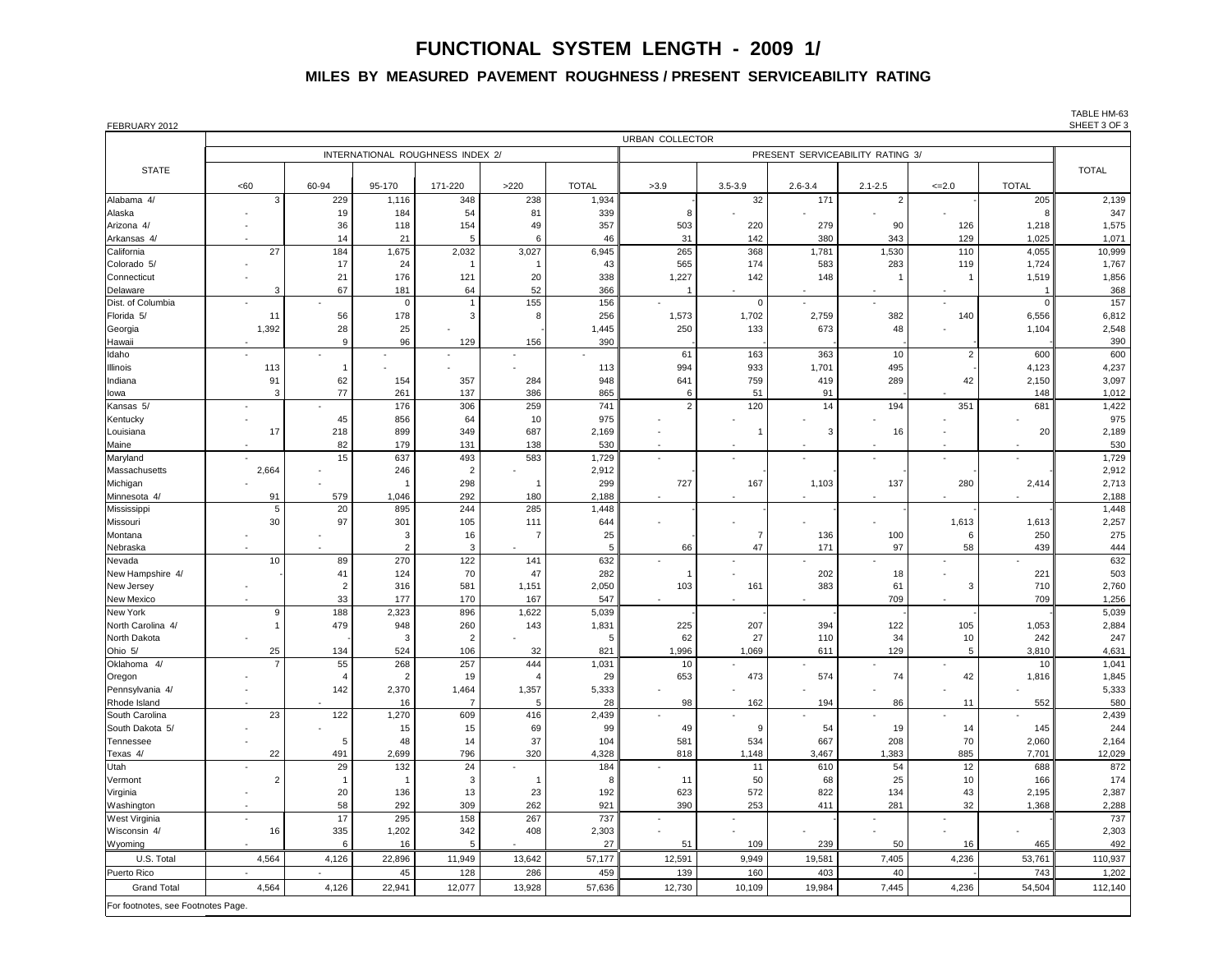|                                    | <b>URBAN COLLECTOR</b> |                          |                |                                  |          |              |                          |              |                                  |                          |            |              |              |
|------------------------------------|------------------------|--------------------------|----------------|----------------------------------|----------|--------------|--------------------------|--------------|----------------------------------|--------------------------|------------|--------------|--------------|
|                                    |                        |                          |                | INTERNATIONAL ROUGHNESS INDEX 2/ |          |              |                          |              | PRESENT SERVICEABILITY RATING 3/ |                          |            |              |              |
| <b>STATE</b>                       |                        |                          |                |                                  |          |              |                          |              |                                  |                          |            |              |              |
|                                    | <60                    | 60-94                    | 95-170         | 171-220                          | $>220$   | <b>TOTAL</b> | >3.9                     | $3.5 - 3.9$  | $2.6 - 3.4$                      | $2.1 - 2.5$              | $\leq 2.0$ | <b>TOTAL</b> |              |
| Alabama 4/                         | 3                      | 229                      | 1,116          | 348                              | 238      | 1,934        |                          | 32           | 171                              | 2                        |            | 205          | 2,139        |
| Alaska                             |                        | 19                       | 184            | 54                               | 81       | 339          | 8                        |              |                                  | $\overline{\phantom{a}}$ |            |              | 347          |
| Arizona 4/                         |                        | 36                       | 118            | 154                              | 49       | 357          | 503                      | 220          | 279                              | 90                       | 126        | 1,218        | 1,575        |
| Arkansas 4/                        |                        | 14                       | 21             | 5                                |          | 46           | 31                       | 142          | 380                              | 343                      | 129        | 1,025        | 1,071        |
| California                         | 27                     | 184                      | 1,675          | 2,032                            | 3,027    | 6,945        | 265                      | 368          | 1,781                            | 1,530                    | 110        | 4,055        | 10,999       |
| Colorado 5/                        |                        | 17                       | 24             |                                  |          | 43           | 565                      | 174          | 583                              | 283                      | 119        | 1,724        | 1,767        |
| Connecticut                        |                        | 21                       | 176            | 121                              | 20       | 338          | 1,227                    | 142          | 148                              |                          |            | 1,519        | 1,856        |
| Delaware                           | 3                      | 67                       | 181            | 64                               | 52       | 366          |                          |              |                                  | $\sim$                   | $\sim$     |              | 368          |
| Dist. of Columbia                  |                        |                          | $\overline{0}$ |                                  | 155      | 156          | $\overline{\phantom{0}}$ | $\Omega$     |                                  | $\sim$                   |            |              | 157          |
| Florida 5/                         | 11<br>1,392            | 56<br>28                 | 178            | 3                                |          | 256          | 1,573<br>250             | 1,702<br>133 | 2,759<br>673                     | 382<br>48                | 140        | 6,556        | 6,812        |
| Georgia<br>Hawaii                  |                        | 9                        | 25<br>96       | 129                              | 156      | 1,445<br>390 |                          |              |                                  |                          |            | 1,104        | 2,548<br>390 |
| Idaho                              | $\sim$                 |                          | $\blacksquare$ |                                  |          |              | 61                       | 163          | 363                              | 10                       | 2          | 600          | 600          |
| <b>Illinois</b>                    | 113                    |                          |                |                                  |          | 113          | 994                      | 933          | 1,701                            | 495                      |            | 4,123        | 4,237        |
| Indiana                            | 91                     | 62                       | 154            | 357                              | 284      | 948          | 641                      | 759          | 419                              | 289                      | 42         | 2,150        | 3,097        |
| lowa                               | 3                      | 77                       | 261            | 137                              | 386      | 865          |                          | 51           | 91                               |                          |            | 148          | 1,012        |
| Kansas 5/                          |                        | $\overline{\phantom{a}}$ | 176            | 306                              | 259      | 741          | $\overline{2}$           | 120          | 14                               | 194                      | 351        | 681          | 1,422        |
| Kentucky                           |                        | 45                       | 856            | 64                               | 10       | 975          |                          |              |                                  |                          |            |              | 975          |
| Louisiana                          | 17                     | 218                      | 899            | 349                              | 687      | 2,169        |                          |              | 3                                | 16                       |            | 20           | 2,189        |
| Maine                              |                        | 82                       | 179            | 131                              | 138      | 530          | $\blacksquare$           |              |                                  |                          | $\sim$     |              | 530          |
| Maryland                           |                        | 15                       | 637            | 493                              | 583      | 1,729        | $\overline{\phantom{a}}$ |              |                                  |                          |            |              | 1,729        |
| Massachusetts                      | 2,664                  |                          | 246            | 2                                |          | 2,912        |                          |              |                                  |                          |            |              | 2,912        |
| Michigan                           |                        |                          |                | 298                              |          | 299          | 727                      | 167          | 1,103                            | 137                      | 280        | 2,414        | 2,713        |
| Minnesota 4/                       | 91                     | 579                      | 1,046          | 292                              | 180      | 2,188        |                          |              |                                  |                          |            |              | 2,188        |
| Mississippi                        | $5\phantom{.0}$        | 20                       | 895            | 244                              | 285      | 1,448        |                          |              |                                  |                          |            |              | 1,448        |
| Missouri<br>Montana                | 30                     | 97                       | 301<br>3       | 105<br>16                        | 111      | 644<br>25    |                          |              | 136                              | 100                      | 1,613<br>6 | 1,613<br>250 | 2,257<br>275 |
| Nebraska                           |                        |                          | $\overline{2}$ | 3                                |          |              | 66                       | 47           | 171                              | 97                       | 58         | 439          | 444          |
| Nevada                             | 10                     | 89                       | 270            | 122                              | 141      | 632          |                          |              |                                  |                          |            |              | 632          |
| New Hampshire 4/                   |                        | 41                       | 124            | 70                               | 47       | 282          |                          |              | 202                              | 18                       |            | 221          | 503          |
| New Jersey                         |                        |                          | 316            | 581                              | 1,151    | 2,050        | 103                      | 161          | 383                              | 61                       |            | 710          | 2,760        |
| <b>New Mexico</b>                  |                        | 33                       | 177            | 170                              | 167      | 547          |                          |              |                                  | 709                      |            | 709          | 1,256        |
| <b>New York</b>                    | 9                      | 188                      | 2,323          | 896                              | 1,622    | 5,039        |                          |              |                                  |                          |            |              | 5,039        |
| North Carolina 4/                  |                        | 479                      | 948            | 260                              | 143      | 1,831        | 225                      | 207          | 394                              | 122                      | 105        | 1,053        | 2,884        |
| North Dakota                       |                        |                          | 3              |                                  |          |              | 62                       | 27           | 110                              | 34                       | 10         | 242          | 247          |
| Ohio 5/                            | 25                     | 134                      | 524            | 106                              | 32       | 821          | 1,996                    | 1,069        | 611                              | 129                      |            | 3,810        | 4,631        |
| Oklahoma 4/                        | $\overline{7}$         | 55                       | 268            | 257                              | 444      | 1,031        | 10                       |              |                                  |                          |            | 10           | 1,041        |
| Oregon                             |                        |                          | 2              | 19                               |          | 29           | 653                      | 473          | 574                              | 74                       | 42         | 1,816        | 1,845        |
| Pennsylvania 4/                    |                        | 142                      | 2,370          | 1,464                            | 1,357    | 5,333        |                          |              |                                  |                          |            |              | 5,333        |
| Rhode Island<br>South Carolina     |                        | 122                      | 16<br>1,270    | -7                               | 5<br>416 | 28           | 98                       | 162          | 194                              | 86                       | 11         | 552          | 580          |
| South Dakota 5/                    | 23                     |                          | 15             | 609<br>15                        | 69       | 2,439<br>99  | 49                       | -9           | 54                               | 19                       | 14         | 145          | 2,439<br>244 |
| Tennessee                          |                        | 5                        | 48             | 14                               | 37       | 104          | 581                      | 534          | 667                              | 208                      | 70         | 2,060        | 2,164        |
| Texas 4/                           | 22                     | 491                      | 2,699          | 796                              | 320      | 4,328        | 818                      | 1,148        | 3,467                            | 1,383                    | 885        | 7,701        | 12,029       |
| Utah                               |                        | 29                       | 132            | 24                               |          | 184          |                          | 11           | 610                              | 54                       | 12         | 688          | 872          |
| Vermont                            |                        |                          |                | 3                                |          |              | 11                       | 50           | 68                               | 25                       | 10         | 166          | 174          |
| Virginia                           |                        | 20                       | 136            | 13                               | 23       | 192          | 623                      | 572          | 822                              | 134                      | 43         | 2,195        | 2,387        |
| Washington                         |                        | 58                       | 292            | 309                              | 262      | 921          | 390                      | 253          | 411                              | 281                      | 32         | 1,368        | 2,288        |
| West Virginia                      |                        | 17                       | 295            | 158                              | 267      | 737          |                          |              |                                  |                          |            |              | 737          |
| Wisconsin 4/                       | 16                     | 335                      | 1,202          | 342                              | 408      | 2,303        |                          |              |                                  |                          |            |              | 2,303        |
| Wyoming                            |                        | 6                        | 16             | 5                                |          | $27\,$       | 51                       | 109          | 239                              | 50                       | 16         | 465          | 492          |
| U.S. Total                         | 4,564                  | 4,126                    | 22,896         | 11,949                           | 13,642   | 57,177       | 12,591                   | 9,949        | 19,581                           | 7,405                    | 4,236      | 53,761       | 110,937      |
| <b>Puerto Rico</b>                 | $\sim$                 | $\blacksquare$           | 45             | 128                              | 286      | 459          | 139                      | 160          | 403                              | 40                       |            | 743          | 1,202        |
| <b>Grand Total</b>                 | 4,564                  | 4,126                    | 22,941         | 12,077                           | 13,928   | 57,636       | 12,730                   | 10,109       | 19,984                           | 7,445                    | 4,236      | 54,504       | 112,140      |
| For footnotes, see Footnotes Page. |                        |                          |                |                                  |          |              |                          |              |                                  |                          |            |              |              |

TABLE HM-63<br>SHEET 3 OF 3

# **FUNCTIONAL SYSTEM LENGTH - 2009 1/**

### **MILES BY MEASURED PAVEMENT ROUGHNESS / PRESENT SERVICEABILITY RATING**